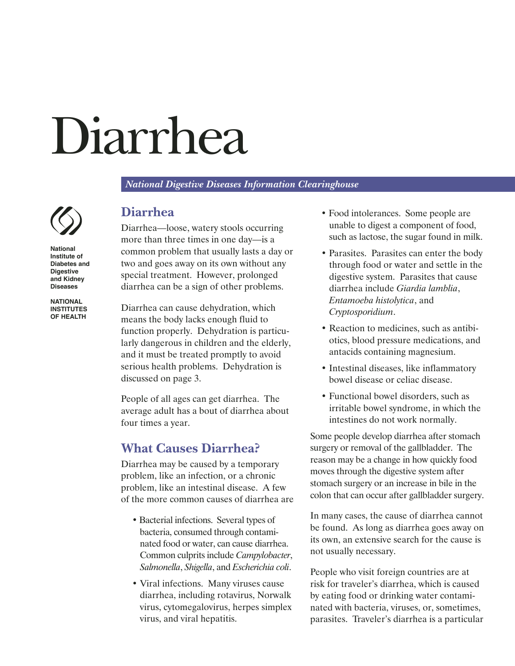# Diarrhea

*National Digestive Diseases Information Clearinghouse*



**National Institute of Diabetes and Digestive and Kidney Diseases**

**NATIONAL INSTITUTES OF HEALTH**

# **Diarrhea**

Diarrhea—loose, watery stools occurring more than three times in one day—is a common problem that usually lasts a day or two and goes away on its own without any special treatment. However, prolonged diarrhea can be a sign of other problems.

Diarrhea can cause dehydration, which means the body lacks enough fluid to function properly. Dehydration is particularly dangerous in children and the elderly, and it must be treated promptly to avoid serious health problems. Dehydration is discussed on page 3.

People of all ages can get diarrhea. The average adult has a bout of diarrhea about four times a year.

# **What Causes Diarrhea?**

Diarrhea may be caused by a temporary problem, like an infection, or a chronic problem, like an intestinal disease. A few of the more common causes of diarrhea are

- Bacterial infections. Several types of bacteria, consumed through contaminated food or water, can cause diarrhea. Common culprits include *Campylobacter*, *Salmonella*, *Shigella*, and *Escherichia coli*.
- Viral infections. Many viruses cause diarrhea, including rotavirus, Norwalk virus, cytomegalovirus, herpes simplex virus, and viral hepatitis.
- Food intolerances. Some people are unable to digest a component of food, such as lactose, the sugar found in milk.
- Parasites. Parasites can enter the body through food or water and settle in the digestive system. Parasites that cause diarrhea include *Giardia lamblia*, *Entamoeba histolytica*, and *Cryptosporidium*.
- Reaction to medicines, such as antibiotics, blood pressure medications, and antacids containing magnesium.
- Intestinal diseases, like inflammatory bowel disease or celiac disease.
- Functional bowel disorders, such as irritable bowel syndrome, in which the intestines do not work normally.

Some people develop diarrhea after stomach surgery or removal of the gallbladder. The reason may be a change in how quickly food moves through the digestive system after stomach surgery or an increase in bile in the colon that can occur after gallbladder surgery.

In many cases, the cause of diarrhea cannot be found. As long as diarrhea goes away on its own, an extensive search for the cause is not usually necessary.

People who visit foreign countries are at risk for traveler's diarrhea, which is caused by eating food or drinking water contaminated with bacteria, viruses, or, sometimes, parasites. Traveler's diarrhea is a particular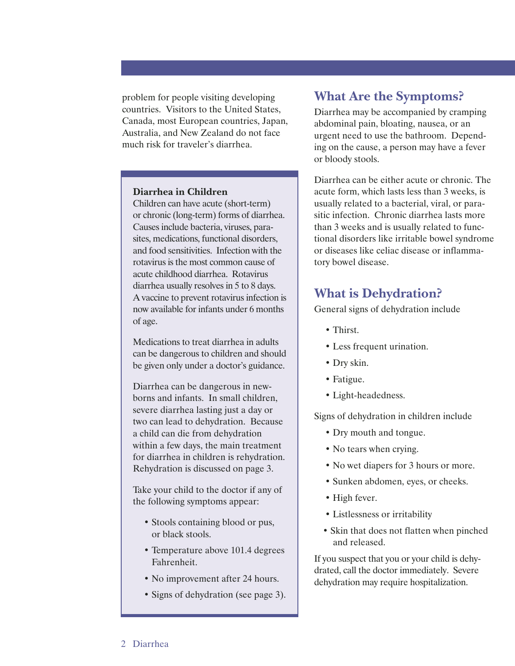problem for people visiting developing countries. Visitors to the United States, Canada, most European countries, Japan, Australia, and New Zealand do not face much risk for traveler's diarrhea.

### **Diarrhea in Children**

Children can have acute (short-term) or chronic (long-term) forms of diarrhea. Causes include bacteria, viruses, parasites, medications, functional disorders, and food sensitivities. Infection with the rotavirus is the most common cause of acute childhood diarrhea. Rotavirus diarrhea usually resolves in 5 to 8 days. A vaccine to prevent rotavirus infection is now available for infants under 6 months of age.

Medications to treat diarrhea in adults can be dangerous to children and should be given only under a doctor's guidance.

Diarrhea can be dangerous in newborns and infants. In small children, severe diarrhea lasting just a day or two can lead to dehydration. Because a child can die from dehydration within a few days, the main treatment for diarrhea in children is rehydration. Rehydration is discussed on page 3.

Take your child to the doctor if any of the following symptoms appear:

- Stools containing blood or pus, or black stools.
- Temperature above 101.4 degrees Fahrenheit.
- No improvement after 24 hours.
- Signs of dehydration (see page 3).

### **What Are the Symptoms?**

Diarrhea may be accompanied by cramping abdominal pain, bloating, nausea, or an urgent need to use the bathroom. Depending on the cause, a person may have a fever or bloody stools.

Diarrhea can be either acute or chronic. The acute form, which lasts less than 3 weeks, is usually related to a bacterial, viral, or parasitic infection. Chronic diarrhea lasts more than 3 weeks and is usually related to functional disorders like irritable bowel syndrome or diseases like celiac disease or inflammatory bowel disease.

### **What is Dehydration?**

General signs of dehydration include

- Thirst.
- Less frequent urination.
- Dry skin.
- Fatigue.
- Light-headedness.

Signs of dehydration in children include

- Dry mouth and tongue.
- No tears when crying.
- No wet diapers for 3 hours or more.
- Sunken abdomen, eyes, or cheeks.
- High fever.
- Listlessness or irritability
- Skin that does not flatten when pinched and released.

If you suspect that you or your child is dehydrated, call the doctor immediately. Severe dehydration may require hospitalization.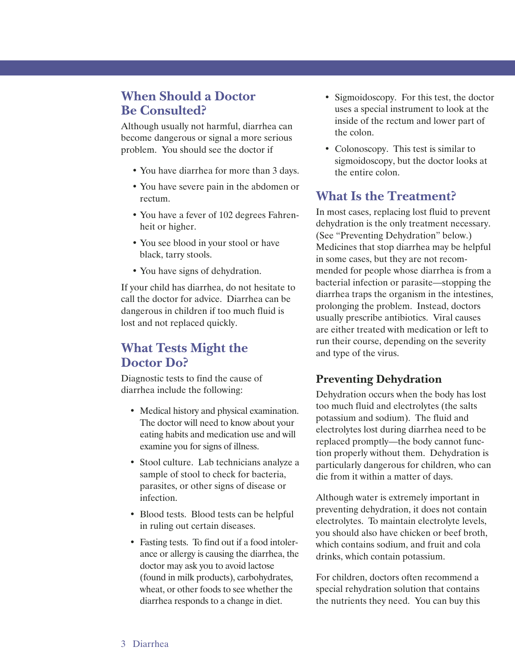# **When Should a Doctor Be Consulted?**

Although usually not harmful, diarrhea can become dangerous or signal a more serious problem. You should see the doctor if

- You have diarrhea for more than 3 days.
- You have severe pain in the abdomen or rectum.
- You have a fever of 102 degrees Fahrenheit or higher.
- You see blood in your stool or have black, tarry stools.
- You have signs of dehydration.

If your child has diarrhea, do not hesitate to call the doctor for advice. Diarrhea can be dangerous in children if too much fluid is lost and not replaced quickly.

# **What Tests Might the Doctor Do?**

Diagnostic tests to find the cause of diarrhea include the following:

- Medical history and physical examination. The doctor will need to know about your eating habits and medication use and will examine you for signs of illness.
- Stool culture. Lab technicians analyze a sample of stool to check for bacteria, parasites, or other signs of disease or infection.
- Blood tests. Blood tests can be helpful in ruling out certain diseases.
- Fasting tests. To find out if a food intolerance or allergy is causing the diarrhea, the doctor may ask you to avoid lactose (found in milk products), carbohydrates, wheat, or other foods to see whether the diarrhea responds to a change in diet.
- Sigmoidoscopy. For this test, the doctor uses a special instrument to look at the inside of the rectum and lower part of the colon.
- Colonoscopy. This test is similar to sigmoidoscopy, but the doctor looks at the entire colon.

# **What Is the Treatment?**

In most cases, replacing lost fluid to prevent dehydration is the only treatment necessary. (See "Preventing Dehydration" below.) Medicines that stop diarrhea may be helpful in some cases, but they are not recommended for people whose diarrhea is from a bacterial infection or parasite—stopping the diarrhea traps the organism in the intestines, prolonging the problem. Instead, doctors usually prescribe antibiotics. Viral causes are either treated with medication or left to run their course, depending on the severity and type of the virus.

### **Preventing Dehydration**

Dehydration occurs when the body has lost too much fluid and electrolytes (the salts potassium and sodium). The fluid and electrolytes lost during diarrhea need to be replaced promptly—the body cannot function properly without them. Dehydration is particularly dangerous for children, who can die from it within a matter of days.

Although water is extremely important in preventing dehydration, it does not contain electrolytes. To maintain electrolyte levels, you should also have chicken or beef broth, which contains sodium, and fruit and cola drinks, which contain potassium.

For children, doctors often recommend a special rehydration solution that contains the nutrients they need. You can buy this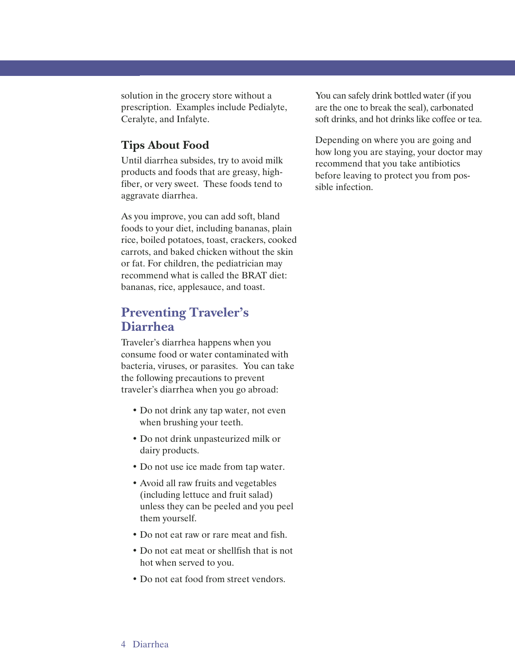solution in the grocery store without a prescription. Examples include Pedialyte, Ceralyte, and Infalyte.

### **Tips About Food**

Until diarrhea subsides, try to avoid milk products and foods that are greasy, highfiber, or very sweet. These foods tend to aggravate diarrhea.

As you improve, you can add soft, bland foods to your diet, including bananas, plain rice, boiled potatoes, toast, crackers, cooked carrots, and baked chicken without the skin or fat. For children, the pediatrician may recommend what is called the BRAT diet: bananas, rice, applesauce, and toast.

# **Preventing Traveler's Diarrhea**

Traveler's diarrhea happens when you consume food or water contaminated with bacteria, viruses, or parasites. You can take the following precautions to prevent traveler's diarrhea when you go abroad:

- Do not drink any tap water, not even when brushing your teeth.
- Do not drink unpasteurized milk or dairy products.
- Do not use ice made from tap water.
- Avoid all raw fruits and vegetables (including lettuce and fruit salad) unless they can be peeled and you peel them yourself.
- Do not eat raw or rare meat and fish.
- Do not eat meat or shellfish that is not hot when served to you.
- Do not eat food from street vendors.

You can safely drink bottled water (if you are the one to break the seal), carbonated soft drinks, and hot drinks like coffee or tea.

Depending on where you are going and how long you are staying, your doctor may recommend that you take antibiotics before leaving to protect you from possible infection.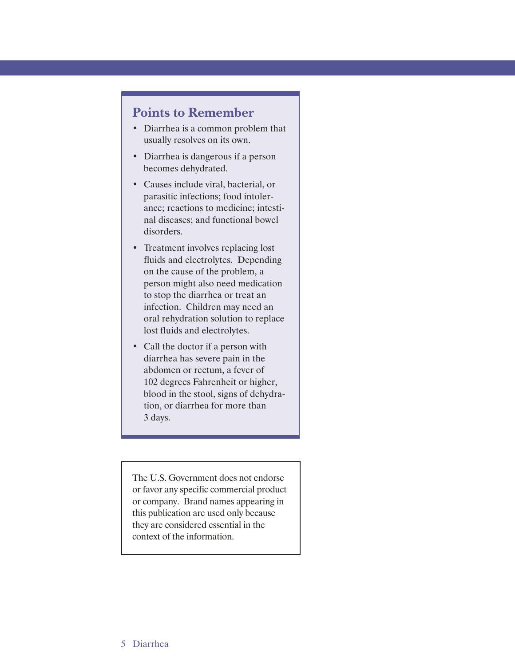### **Points to Remember**

- Diarrhea is a common problem that usually resolves on its own.
- Diarrhea is dangerous if a person becomes dehydrated.
- Causes include viral, bacterial, or parasitic infections; food intolerance; reactions to medicine; intestinal diseases; and functional bowel disorders.
- Treatment involves replacing lost fluids and electrolytes. Depending on the cause of the problem, a person might also need medication to stop the diarrhea or treat an infection. Children may need an oral rehydration solution to replace lost fluids and electrolytes.
- Call the doctor if a person with diarrhea has severe pain in the abdomen or rectum, a fever of 102 degrees Fahrenheit or higher, blood in the stool, signs of dehydration, or diarrhea for more than 3 days.

The U.S. Government does not endorse or favor any specific commercial product or company. Brand names appearing in this publication are used only because they are considered essential in the context of the information.